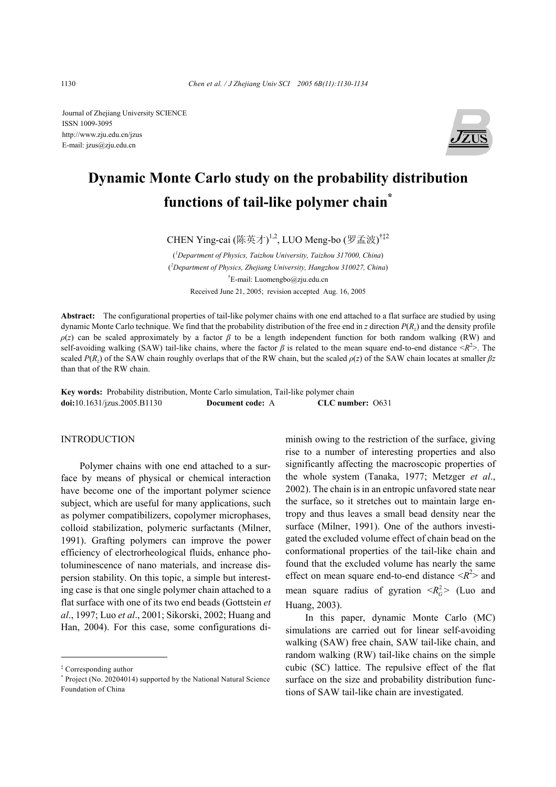Journal of Zhejiang University SCIENCE ISSN 1009-3095 http://www.zju.edu.cn/jzus E-mail: jzus@zju.edu.cn



# **Dynamic Monte Carlo study on the probability distribution functions of tail-like polymer chain\***

CHEN Ying-cai (陈英才)<sup>1,2</sup>, LUO Meng-bo (罗孟波)<sup>†‡2</sup>

( *1 Department of Physics, Taizhou University, Taizhou 317000, China*) ( *2 Department of Physics, Zhejiang University, Hangzhou 310027, China*) † E-mail: Luomengbo@zju.edu.cn Received June 21, 2005; revision accepted Aug. 16, 2005

**Abstract:** The configurational properties of tail-like polymer chains with one end attached to a flat surface are studied by using dynamic Monte Carlo technique. We find that the probability distribution of the free end in *z* direction *P*(*Rz*) and the density profile *ρ*(*z*) can be scaled approximately by a factor *β* to be a length independent function for both random walking (RW) and self-avoiding walking (SAW) tail-like chains, where the factor *β* is related to the mean square end-to-end distance <*R*<sup>2</sup>>. The scaled *P*( $R_z$ ) of the SAW chain roughly overlaps that of the RW chain, but the scaled  $\rho(z)$  of the SAW chain locates at smaller  $\beta z$ than that of the RW chain.

**Key words:** Probability distribution, Monte Carlo simulation, Tail-like polymer chain **doi:**10.1631/jzus.2005.B1130 **Document code:** A **CLC number:** O631

#### INTRODUCTION

Polymer chains with one end attached to a surface by means of physical or chemical interaction have become one of the important polymer science subject, which are useful for many applications, such as polymer compatibilizers, copolymer microphases, colloid stabilization, polymeric surfactants (Milner, 1991). Grafting polymers can improve the power efficiency of electrorheological fluids, enhance photoluminescence of nano materials, and increase dispersion stability. On this topic, a simple but interesting case is that one single polymer chain attached to a flat surface with one of its two end beads (Gottstein *et al*., 1997; Luo *et al*., 2001; Sikorski, 2002; Huang and Han, 2004). For this case, some configurations diminish owing to the restriction of the surface, giving rise to a number of interesting properties and also significantly affecting the macroscopic properties of the whole system (Tanaka, 1977; Metzger *et al*., 2002). The chain is in an entropic unfavored state near the surface, so it stretches out to maintain large entropy and thus leaves a small bead density near the surface (Milner, 1991). One of the authors investigated the excluded volume effect of chain bead on the conformational properties of the tail-like chain and found that the excluded volume has nearly the same effect on mean square end-to-end distance  $\langle R^2 \rangle$  and mean square radius of gyration  $\langle R_G^2 \rangle$  (Luo and Huang, 2003).

In this paper, dynamic Monte Carlo (MC) simulations are carried out for linear self-avoiding walking (SAW) free chain, SAW tail-like chain, and random walking (RW) tail-like chains on the simple cubic (SC) lattice. The repulsive effect of the flat surface on the size and probability distribution functions of SAW tail-like chain are investigated.

<sup>‡</sup> Corresponding author

<sup>\*</sup> Project (No. 20204014) supported by the National Natural Science Foundation of China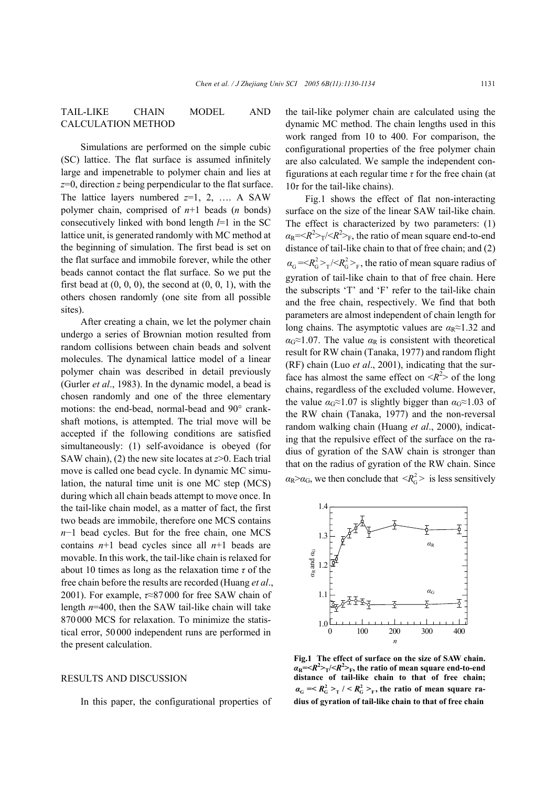TAIL-LIKE CHAIN MODEL AND CALCULATION METHOD

Simulations are performed on the simple cubic (SC) lattice. The flat surface is assumed infinitely large and impenetrable to polymer chain and lies at *z*=0, direction *z* being perpendicular to the flat surface. The lattice layers numbered *z*=1, 2, …. A SAW polymer chain, comprised of *n*+1 beads (*n* bonds) consecutively linked with bond length *l*=1 in the SC lattice unit, is generated randomly with MC method at the beginning of simulation. The first bead is set on the flat surface and immobile forever, while the other beads cannot contact the flat surface. So we put the first bead at  $(0, 0, 0)$ , the second at  $(0, 0, 1)$ , with the others chosen randomly (one site from all possible sites).

After creating a chain, we let the polymer chain undergo a series of Brownian motion resulted from random collisions between chain beads and solvent molecules. The dynamical lattice model of a linear polymer chain was described in detail previously (Gurler *et al*., 1983). In the dynamic model, a bead is chosen randomly and one of the three elementary motions: the end-bead, normal-bead and 90° crankshaft motions, is attempted. The trial move will be accepted if the following conditions are satisfied simultaneously: (1) self-avoidance is obeyed (for SAW chain), (2) the new site locates at *z*>0. Each trial move is called one bead cycle. In dynamic MC simulation, the natural time unit is one MC step (MCS) during which all chain beads attempt to move once. In the tail-like chain model, as a matter of fact, the first two beads are immobile, therefore one MCS contains *n*−1 bead cycles. But for the free chain, one MCS contains  $n+1$  bead cycles since all  $n+1$  beads are movable. In this work, the tail-like chain is relaxed for about 10 times as long as the relaxation time *τ* of the free chain before the results are recorded (Huang *et al*., 2001). For example, *τ*≈87 000 for free SAW chain of length *n*=400, then the SAW tail-like chain will take 870 000 MCS for relaxation. To minimize the statistical error, 50 000 independent runs are performed in the present calculation.

## RESULTS AND DISCUSSION

In this paper, the configurational properties of

the tail-like polymer chain are calculated using the dynamic MC method. The chain lengths used in this work ranged from 10 to 400. For comparison, the configurational properties of the free polymer chain are also calculated. We sample the independent configurations at each regular time *τ* for the free chain (at 10*τ* for the tail-like chains).

Fig.1 shows the effect of flat non-interacting surface on the size of the linear SAW tail-like chain. The effect is characterized by two parameters: (1)  $\alpha_R = \langle R^2 \rangle_T / \langle R^2 \rangle_F$ , the ratio of mean square end-to-end distance of tail-like chain to that of free chain; and (2)  $\alpha_{\rm G} = \langle R_{\rm G}^2 \rangle_{\rm T} / \langle R_{\rm G}^2 \rangle_{\rm F}$ , the ratio of mean square radius of gyration of tail-like chain to that of free chain. Here the subscripts 'T' and 'F' refer to the tail-like chain and the free chain, respectively. We find that both parameters are almost independent of chain length for long chains. The asymptotic values are  $\alpha_R \approx 1.32$  and  $\alpha$ <sup> $\alpha$ </sup><sup> $\approx$ </sup>1.07. The value  $\alpha$ <sup>R</sup> is consistent with theoretical result for RW chain (Tanaka, 1977) and random flight (RF) chain (Luo *et al*., 2001), indicating that the surface has almost the same effect on  $\langle R^2 \rangle$  of the long chains, regardless of the excluded volume. However, the value  $\alpha$ <sub>G</sub>≈1.07 is slightly bigger than  $\alpha$ <sub>G</sub>≈1.03 of the RW chain (Tanaka, 1977) and the non-reversal random walking chain (Huang *et al*., 2000), indicating that the repulsive effect of the surface on the radius of gyration of the SAW chain is stronger than that on the radius of gyration of the RW chain. Since  $\alpha_{\rm R} > \alpha_{\rm G}$ , we then conclude that  $\langle R_{\rm G}^2 \rangle$  is less sensitively



**Fig.1 The effect of surface on the size of SAW chain.**   $\alpha_{\rm R} = \langle R^2 \rangle_T / \langle R^2 \rangle_T$ , the ratio of mean square end-to-end distance of tail-like chain to that of free chain;<br> $a_G \le R_G^2 > T / \langle R_G^2 \rangle$ , the ratio of mean square ra**dius of gyration of tail-like chain to that of free chain**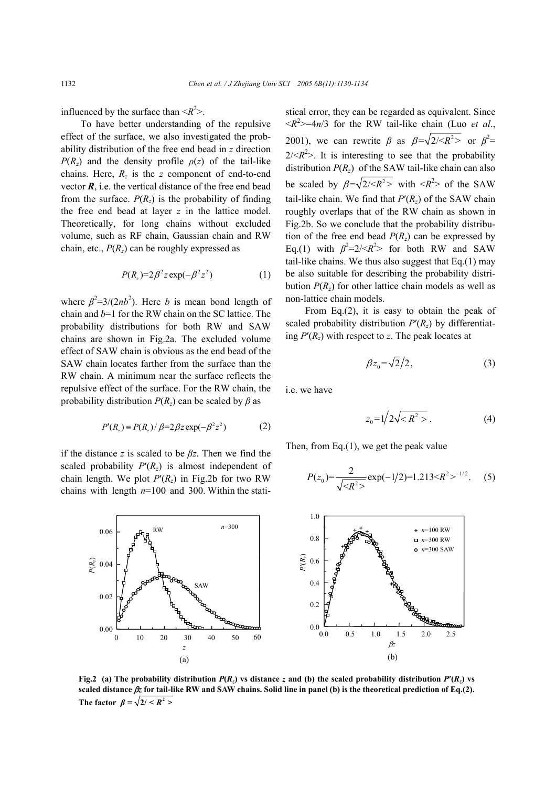influenced by the surface than  $\langle R^2 \rangle$ .

To have better understanding of the repulsive effect of the surface, we also investigated the probability distribution of the free end bead in *z* direction *P*( $R_z$ ) and the density profile  $\rho(z)$  of the tail-like chains. Here,  $R_z$  is the *z* component of end-to-end vector  $\vec{R}$ , i.e. the vertical distance of the free end bead from the surface.  $P(R_z)$  is the probability of finding the free end bead at layer *z* in the lattice model. Theoretically, for long chains without excluded volume, such as RF chain, Gaussian chain and RW chain, etc.,  $P(R_z)$  can be roughly expressed as

$$
P(R_z)=2\beta^2 z \exp(-\beta^2 z^2)
$$
 (1)

where  $\beta^2 = 3/(2nb^2)$ . Here *b* is mean bond length of chain and *b*=1 for the RW chain on the SC lattice. The probability distributions for both RW and SAW chains are shown in Fig.2a. The excluded volume effect of SAW chain is obvious as the end bead of the SAW chain locates farther from the surface than the RW chain. A minimum near the surface reflects the repulsive effect of the surface. For the RW chain, the probability distribution  $P(R_z)$  can be scaled by  $\beta$  as

$$
P'(R_z) = P(R_z) / \beta = 2\beta z \exp(-\beta^2 z^2)
$$
 (2)

0 10 20 30 40 50 60

*z*  (a) SAW

 $0.00\frac{1}{0}$ 

0.02

0.04 *P*(*Rz*)

if the distance *z* is scaled to be *βz*. Then we find the scaled probability  $P'(R_z)$  is almost independent of chain length. We plot  $P'(R_z)$  in Fig.2b for two RW chains with length  $n=100$  and 300. Within the stati-

 $0.06$  **h**<sub>d</sub> RW  $n=300$ 

RW

stical error, they can be regarded as equivalent. Since  $\langle R^2 \rangle = 4n/3$  for the RW tail-like chain (Luo *et al.*, 2001), we can rewrite  $\beta$  as  $\beta = \sqrt{2}/\langle R^2 \rangle$  or  $\beta^2 =$  $2/*R*<sup>2</sup>$ . It is interesting to see that the probability distribution  $P(R_z)$  of the SAW tail-like chain can also be scaled by  $\beta = \sqrt{2}/\langle R^2 \rangle$  with  $\langle R^2 \rangle$  of the SAW tail-like chain. We find that  $P'(R_z)$  of the SAW chain roughly overlaps that of the RW chain as shown in Fig.2b. So we conclude that the probability distribution of the free end bead  $P(R<sub>z</sub>)$  can be expressed by Eq.(1) with  $\beta^2 = 2 \times R^2$  for both RW and SAW tail-like chains. We thus also suggest that  $Eq.(1)$  may be also suitable for describing the probability distribution  $P(R_z)$  for other lattice chain models as well as non-lattice chain models.

From Eq.(2), it is easy to obtain the peak of scaled probability distribution  $P'(R_z)$  by differentiating  $P'(R_z)$  with respect to z. The peak locates at

$$
\beta z_0 = \sqrt{2}/2, \qquad (3)
$$

i.e. we have

$$
z_0 = 1/2\sqrt{R^2} > . \tag{4}
$$

Then, from Eq.(1), we get the peak value

$$
P(z_0) = \frac{2}{\sqrt{R^2}} \exp(-1/2) = 1.213 \times R^2 >^{-1/2}.
$$
 (5)



**Fig.2** (a) The probability distribution  $P(R_z)$  vs distance *z* and (b) the scaled probability distribution  $P'(R_z)$  vs **scaled distance** β*z* **for tail-like RW and SAW chains. Solid line in panel (b) is the theoretical prediction of Eq.(2). The factor**  $\beta = \sqrt{2/5} R^2$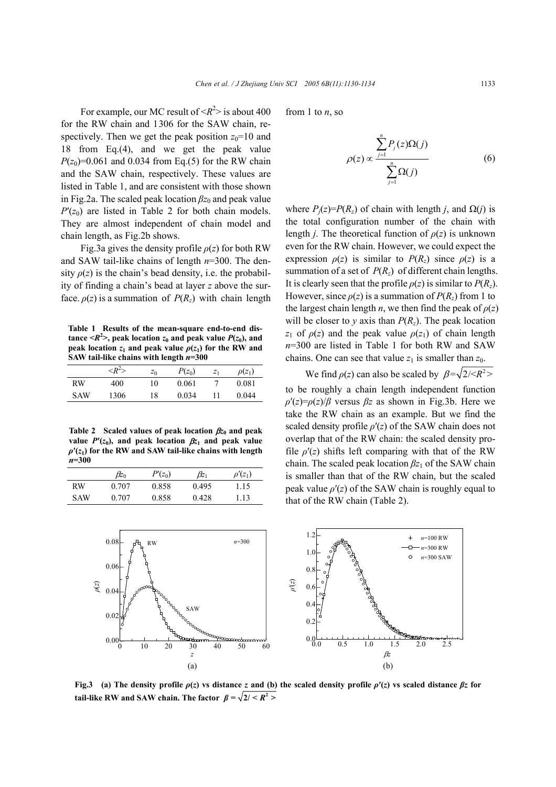For example, our MC result of  $\langle R^2 \rangle$  is about 400 for the RW chain and 1306 for the SAW chain, respectively. Then we get the peak position  $z_0$ =10 and 18 from Eq.(4), and we get the peak value  $P(z_0)=0.061$  and 0.034 from Eq.(5) for the RW chain and the SAW chain, respectively. These values are listed in Table 1, and are consistent with those shown in Fig.2a. The scaled peak location  $\beta z_0$  and peak value  $P'(z_0)$  are listed in Table 2 for both chain models. They are almost independent of chain model and chain length, as Fig.2b shows.

Fig.3a gives the density profile  $\rho(z)$  for both RW and SAW tail-like chains of length *n*=300. The density  $\rho(z)$  is the chain's bead density, i.e. the probability of finding a chain's bead at layer *z* above the surface.  $\rho(z)$  is a summation of  $P(R_z)$  with chain length

**Table 1 Results of the mean-square end-to-end distance**  $\langle R^2 \rangle$ **, peak location**  $z_0$  **and peak value**  $P(z_0)$ **, and peak location**  $z_1$  and peak value  $\rho(z_1)$  for the RW and **SAW tail-like chains with length** *n***=300** 

|     | $\langle R^2 \rangle$ | $z_0$ | $P(z_0)$ | $Z_1$ | $\rho(z_1)$ |
|-----|-----------------------|-------|----------|-------|-------------|
| RW  | 400                   | 10    | 0.061    |       | 0.081       |
| SAW | 1306                  | 18    | 0.034    |       | 0.044       |

**Table 2 Scaled values of peak location** β*z***0 and peak value**  $P'(z_0)$ **, and peak location**  $\beta z_1$  **and peak value**  $\rho$ <sup>'</sup> $(z_1)$  for the RW and SAW tail-like chains with length *n***=300** 

|            | $\beta z_0$ | $P'(z_0)$ | $\beta z_1$ | $\rho'(z_1)$ |
|------------|-------------|-----------|-------------|--------------|
| RW         | 0.707       | 0.858     | 0.495       | 1.15         |
| <b>SAW</b> | 0.707       | 0.858     | 0.428       | 1.13         |

from 1 to *n*, so

$$
\rho(z) \propto \frac{\sum_{j=1}^{n} P_j(z) \Omega(j)}{\sum_{j=1}^{n} \Omega(j)}
$$
\n(6)

where  $P_i(z) = P(R_z)$  of chain with length *j*, and  $\Omega(i)$  is the total configuration number of the chain with length *j*. The theoretical function of  $\rho(z)$  is unknown even for the RW chain. However, we could expect the expression  $\rho(z)$  is similar to  $P(R_z)$  since  $\rho(z)$  is a summation of a set of  $P(R_z)$  of different chain lengths. It is clearly seen that the profile  $\rho(z)$  is similar to  $P(R_z)$ . However, since  $\rho(z)$  is a summation of  $P(R_z)$  from 1 to the largest chain length *n*, we then find the peak of  $\rho(z)$ will be closer to *y* axis than  $P(R_z)$ . The peak location *z*<sub>1</sub> of  $\rho(z)$  and the peak value  $\rho(z_1)$  of chain length *n*=300 are listed in Table 1 for both RW and SAW chains. One can see that value  $z_1$  is smaller than  $z_0$ .

We find  $\rho(z)$  can also be scaled by  $\beta = \sqrt{2}/\langle R^2 \rangle$ to be roughly a chain length independent function  $\rho'(z) = \rho(z)/\beta$  versus  $\beta z$  as shown in Fig.3b. Here we take the RW chain as an example. But we find the scaled density profile *ρ*′(*z*) of the SAW chain does not overlap that of the RW chain: the scaled density profile  $\rho'(z)$  shifts left comparing with that of the RW chain. The scaled peak location  $\beta z_1$  of the SAW chain is smaller than that of the RW chain, but the scaled peak value  $\rho'(z)$  of the SAW chain is roughly equal to that of the RW chain (Table 2).



**Fig.3** (a) The density profile  $\rho(z)$  vs distance *z* and (b) the scaled density profile  $\rho'(z)$  vs scaled distance  $\beta z$  for **tail-like RW and SAW chain. The factor**  $\beta = \sqrt{2/\langle R^2 \rangle}$